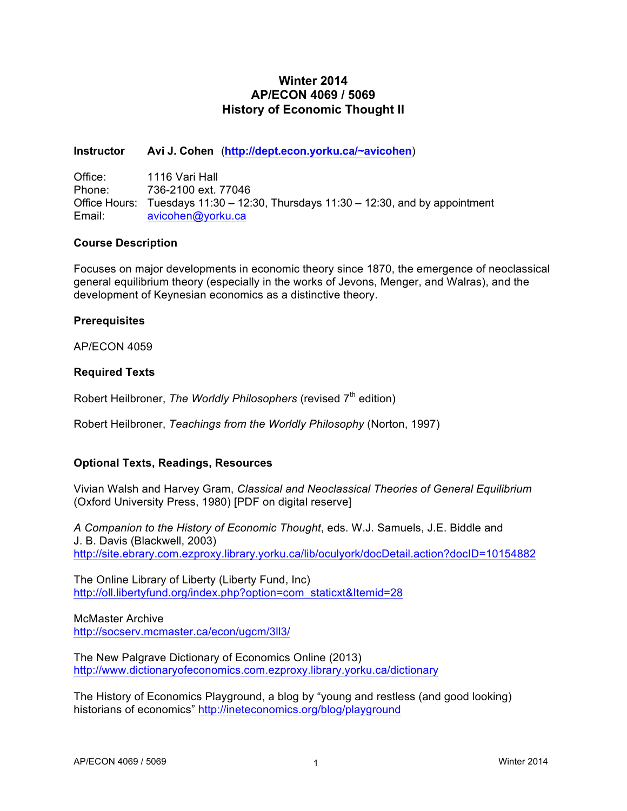# **Winter 2014 AP/ECON 4069 / 5069 History of Economic Thought II**

### **Instructor Avi J. Cohen** (**http://dept.econ.yorku.ca/~avicohen**)

| Office: | 1116 Vari Hall                                                                    |
|---------|-----------------------------------------------------------------------------------|
| Phone:  | 736-2100 ext. 77046                                                               |
|         | Office Hours: Tuesdays 11:30 – 12:30, Thursdays 11:30 – 12:30, and by appointment |
| Email:  | avicohen@yorku.ca                                                                 |

### **Course Description**

Focuses on major developments in economic theory since 1870, the emergence of neoclassical general equilibrium theory (especially in the works of Jevons, Menger, and Walras), and the development of Keynesian economics as a distinctive theory.

### **Prerequisites**

AP/ECON 4059

### **Required Texts**

Robert Heilbroner, *The Worldly Philosophers* (revised 7<sup>th</sup> edition)

Robert Heilbroner, *Teachings from the Worldly Philosophy* (Norton, 1997)

### **Optional Texts, Readings, Resources**

Vivian Walsh and Harvey Gram, *Classical and Neoclassical Theories of General Equilibrium* (Oxford University Press, 1980) [PDF on digital reserve]

*A Companion to the History of Economic Thought*, eds. W.J. Samuels, J.E. Biddle and J. B. Davis (Blackwell, 2003) http://site.ebrary.com.ezproxy.library.yorku.ca/lib/oculyork/docDetail.action?docID=10154882

The Online Library of Liberty (Liberty Fund, Inc) http://oll.libertyfund.org/index.php?option=com\_staticxt&Itemid=28

McMaster Archive http://socserv.mcmaster.ca/econ/ugcm/3ll3/

The New Palgrave Dictionary of Economics Online (2013) http://www.dictionaryofeconomics.com.ezproxy.library.yorku.ca/dictionary

The History of Economics Playground, a blog by "young and restless (and good looking) historians of economics" http://ineteconomics.org/blog/playground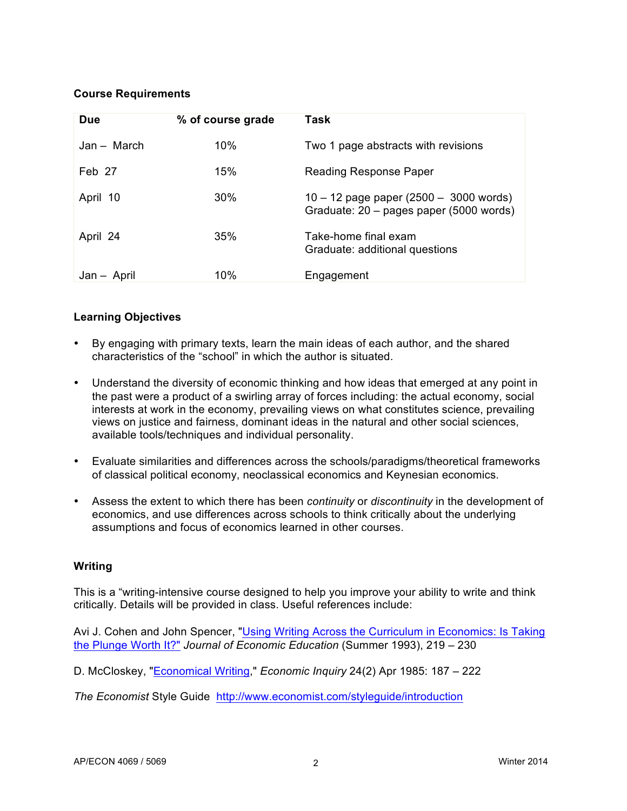## **Course Requirements**

| Due         | % of course grade | Task                                                                                |
|-------------|-------------------|-------------------------------------------------------------------------------------|
| Jan – March | 10%               | Two 1 page abstracts with revisions                                                 |
| Feb 27      | 15%               | Reading Response Paper                                                              |
| April 10    | 30%               | $10 - 12$ page paper (2500 - 3000 words)<br>Graduate: 20 - pages paper (5000 words) |
| April 24    | 35%               | Take-home final exam<br>Graduate: additional questions                              |
| Jan – April | 10%               | Engagement                                                                          |

### **Learning Objectives**

- By engaging with primary texts, learn the main ideas of each author, and the shared characteristics of the "school" in which the author is situated.
- Understand the diversity of economic thinking and how ideas that emerged at any point in the past were a product of a swirling array of forces including: the actual economy, social interests at work in the economy, prevailing views on what constitutes science, prevailing views on justice and fairness, dominant ideas in the natural and other social sciences, available tools/techniques and individual personality.
- Evaluate similarities and differences across the schools/paradigms/theoretical frameworks of classical political economy, neoclassical economics and Keynesian economics.
- Assess the extent to which there has been *continuity* or *discontinuity* in the development of economics, and use differences across schools to think critically about the underlying assumptions and focus of economics learned in other courses.

### **Writing**

This is a "writing-intensive course designed to help you improve your ability to write and think critically. Details will be provided in class. Useful references include:

Avi J. Cohen and John Spencer, "Using Writing Across the Curriculum in Economics: Is Taking the Plunge Worth It?" *Journal of Economic Education* (Summer 1993), 219 – 230

D. McCloskey, "Economical Writing," *Economic Inquiry* 24(2) Apr 1985: 187 – 222

*The Economist* Style Guide http://www.economist.com/styleguide/introduction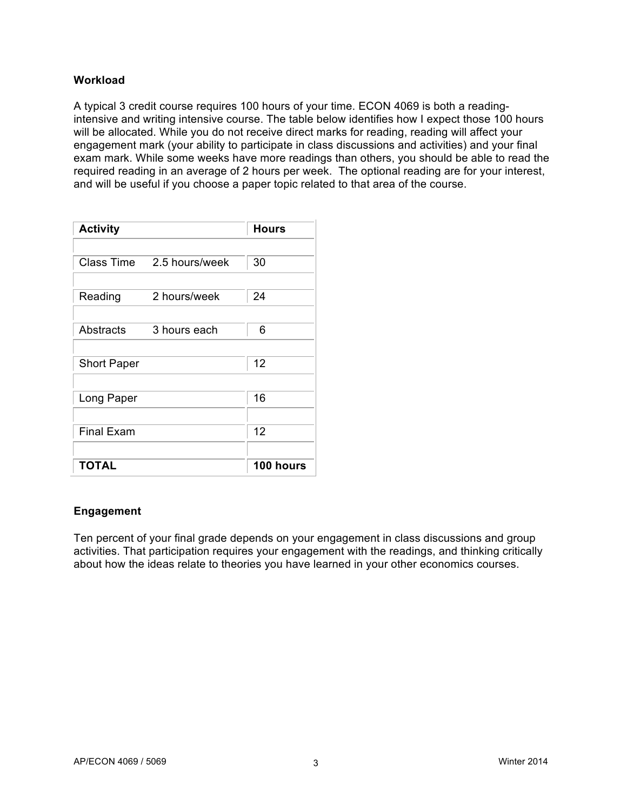### **Workload**

A typical 3 credit course requires 100 hours of your time. ECON 4069 is both a readingintensive and writing intensive course. The table below identifies how I expect those 100 hours will be allocated. While you do not receive direct marks for reading, reading will affect your engagement mark (your ability to participate in class discussions and activities) and your final exam mark. While some weeks have more readings than others, you should be able to read the required reading in an average of 2 hours per week. The optional reading are for your interest, and will be useful if you choose a paper topic related to that area of the course.

| <b>Activity</b>    |                | Hours     |
|--------------------|----------------|-----------|
|                    |                |           |
| <b>Class Time</b>  | 2.5 hours/week | 30        |
|                    |                |           |
| Reading            | 2 hours/week   | 24        |
|                    |                |           |
| Abstracts          | 3 hours each   | 6         |
|                    |                |           |
| <b>Short Paper</b> | 12             |           |
|                    |                |           |
| Long Paper         | 16             |           |
|                    |                |           |
| <b>Final Exam</b>  | 12             |           |
|                    |                |           |
| <b>TOTAL</b>       |                | 100 hours |

### **Engagement**

Ten percent of your final grade depends on your engagement in class discussions and group activities. That participation requires your engagement with the readings, and thinking critically about how the ideas relate to theories you have learned in your other economics courses.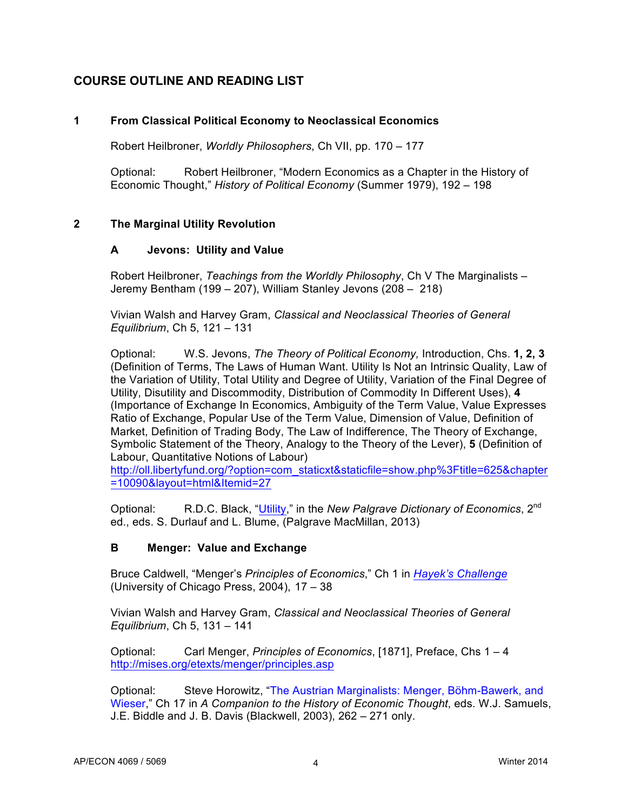# **COURSE OUTLINE AND READING LIST**

# **1 From Classical Political Economy to Neoclassical Economics**

Robert Heilbroner, *Worldly Philosophers*, Ch VII, pp. 170 – 177

Optional: Robert Heilbroner, "Modern Economics as a Chapter in the History of Economic Thought," *History of Political Economy* (Summer 1979), 192 – 198

# **2 The Marginal Utility Revolution**

### **A Jevons: Utility and Value**

Robert Heilbroner, *Teachings from the Worldly Philosophy*, Ch V The Marginalists – Jeremy Bentham (199 – 207), William Stanley Jevons (208 – 218)

Vivian Walsh and Harvey Gram, *Classical and Neoclassical Theories of General Equilibrium*, Ch 5, 121 – 131

Optional: W.S. Jevons, *The Theory of Political Economy,* Introduction, Chs. **1, 2, 3** (Definition of Terms, The Laws of Human Want. Utility Is Not an Intrinsic Quality, Law of the Variation of Utility, Total Utility and Degree of Utility, Variation of the Final Degree of Utility, Disutility and Discommodity, Distribution of Commodity In Different Uses), **4** (Importance of Exchange In Economics, Ambiguity of the Term Value, Value Expresses Ratio of Exchange, Popular Use of the Term Value, Dimension of Value, Definition of Market, Definition of Trading Body, The Law of Indifference, The Theory of Exchange, Symbolic Statement of the Theory, Analogy to the Theory of the Lever), **5** (Definition of Labour, Quantitative Notions of Labour)

http://oll.libertyfund.org/?option=com\_staticxt&staticfile=show.php%3Ftitle=625&chapter =10090&layout=html&Itemid=27

Optional: R.D.C. Black, "Utility," in the *New Palgrave Dictionary of Economics*, 2<sup>nd</sup> ed., eds. S. Durlauf and L. Blume, (Palgrave MacMillan, 2013)

# **B Menger: Value and Exchange**

Bruce Caldwell, "Menger's *Principles of Economics*," Ch 1 in *Hayek's Challenge* (University of Chicago Press, 2004), 17 – 38

Vivian Walsh and Harvey Gram, *Classical and Neoclassical Theories of General Equilibrium*, Ch 5, 131 – 141

Optional: Carl Menger, *Principles of Economics*, [1871], Preface, Chs 1 – 4 http://mises.org/etexts/menger/principles.asp

Optional: Steve Horowitz, "The Austrian Marginalists: Menger, Böhm-Bawerk, and Wieser," Ch 17 in *A Companion to the History of Economic Thought*, eds. W.J. Samuels, J.E. Biddle and J. B. Davis (Blackwell, 2003), 262 – 271 only.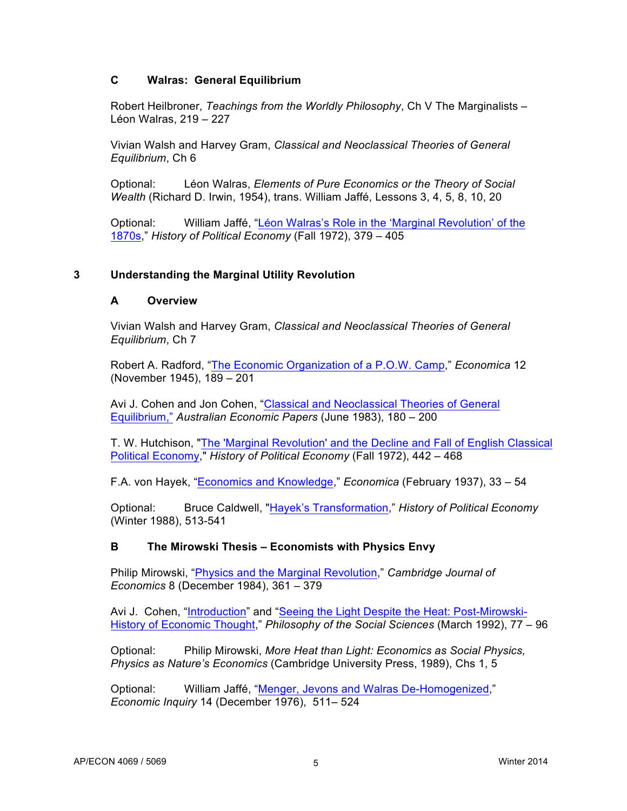### **C Walras: General Equilibrium**

Robert Heilbroner, *Teachings from the Worldly Philosophy*, Ch V The Marginalists – Léon Walras, 219 – 227

Vivian Walsh and Harvey Gram, *Classical and Neoclassical Theories of General Equilibrium*, Ch 6

Optional: Léon Walras, *Elements of Pure Economics or the Theory of Social Wealth* (Richard D. Irwin, 1954), trans. William Jaffé, Lessons 3, 4, 5, 8, 10, 20

Optional: William Jaffé, "Léon Walras's Role in the 'Marginal Revolution' of the 1870s," *History of Political Economy* (Fall 1972), 379 – 405

### **3 Understanding the Marginal Utility Revolution**

#### **A Overview**

Vivian Walsh and Harvey Gram, *Classical and Neoclassical Theories of General Equilibrium*, Ch 7

Robert A. Radford, "The Economic Organization of a P.O.W. Camp," *Economica* 12 (November 1945), 189 – 201

Avi J. Cohen and Jon Cohen, "Classical and Neoclassical Theories of General Equilibrium," *Australian Economic Papers* (June 1983), 180 – 200

T. W. Hutchison, "The 'Marginal Revolution' and the Decline and Fall of English Classical Political Economy," *History of Political Economy* (Fall 1972), 442 – 468

F.A. von Hayek, "Economics and Knowledge," *Economica* (February 1937), 33 – 54

Optional: Bruce Caldwell, "Hayek's Transformation," *History of Political Economy* (Winter 1988), 513-541

### **B The Mirowski Thesis – Economists with Physics Envy**

Philip Mirowski, "Physics and the Marginal Revolution," *Cambridge Journal of Economics* 8 (December 1984), 361 – 379

Avi J. Cohen, "Introduction" and "Seeing the Light Despite the Heat: Post-Mirowski-History of Economic Thought," *Philosophy of the Social Sciences* (March 1992), 77 – 96

Optional: Philip Mirowski, *More Heat than Light: Economics as Social Physics, Physics as Nature's Economics* (Cambridge University Press, 1989), Chs 1, 5

Optional: William Jaffé, "Menger, Jevons and Walras De-Homogenized," *Economic Inquiry* 14 (December 1976), 511– 524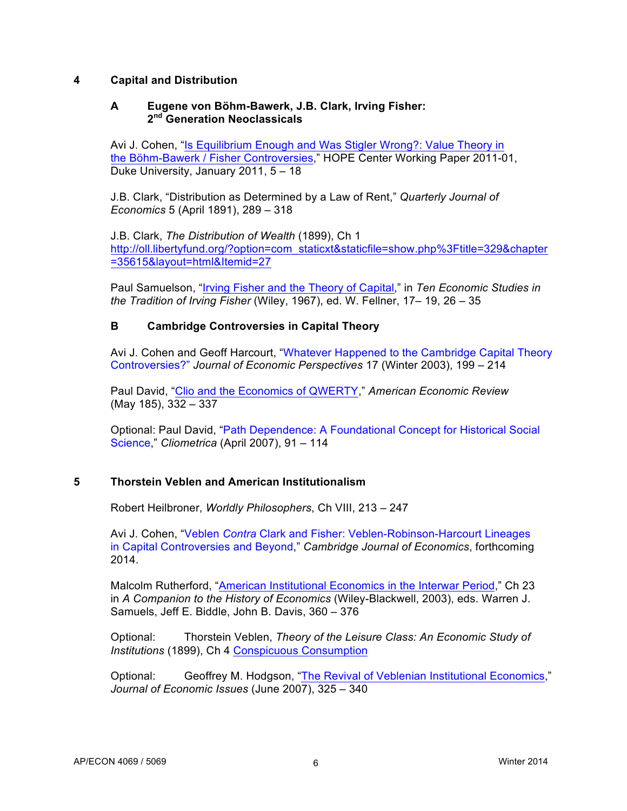### **4 Capital and Distribution**

### **A Eugene von Böhm-Bawerk, J.B. Clark, Irving Fisher: 2nd Generation Neoclassicals**

Avi J. Cohen, "Is Equilibrium Enough and Was Stigler Wrong?: Value Theory in the Böhm-Bawerk / Fisher Controversies," HOPE Center Working Paper 2011-01, Duke University, January 2011, 5 – 18

J.B. Clark, "Distribution as Determined by a Law of Rent," *Quarterly Journal of Economics* 5 (April 1891), 289 – 318

J.B. Clark, *The Distribution of Wealth* (1899), Ch 1 http://oll.libertyfund.org/?option=com\_staticxt&staticfile=show.php%3Ftitle=329&chapter =35615&layout=html&Itemid=27

Paul Samuelson, "Irving Fisher and the Theory of Capital," in *Ten Economic Studies in the Tradition of Irving Fisher* (Wiley, 1967), ed. W. Fellner, 17– 19, 26 – 35

# **B Cambridge Controversies in Capital Theory**

Avi J. Cohen and Geoff Harcourt, "Whatever Happened to the Cambridge Capital Theory Controversies?" *Journal of Economic Perspectives* 17 (Winter 2003), 199 – 214

Paul David, "Clio and the Economics of QWERTY," *American Economic Review* (May 185), 332 – 337

Optional: Paul David, "Path Dependence: A Foundational Concept for Historical Social Science," *Cliometrica* (April 2007), 91 – 114

# **5 Thorstein Veblen and American Institutionalism**

Robert Heilbroner, *Worldly Philosophers*, Ch VIII, 213 – 247

Avi J. Cohen, "Veblen *Contra* Clark and Fisher: Veblen-Robinson-Harcourt Lineages in Capital Controversies and Beyond," *Cambridge Journal of Economics*, forthcoming 2014.

Malcolm Rutherford, "American Institutional Economics in the Interwar Period," Ch 23 in *A Companion to the History of Economics* (Wiley-Blackwell, 2003), eds. Warren J. Samuels, Jeff E. Biddle, John B. Davis, 360 – 376

Optional: Thorstein Veblen, *Theory of the Leisure Class: An Economic Study of Institutions* (1899), Ch 4 Conspicuous Consumption

Optional: Geoffrey M. Hodgson, "The Revival of Veblenian Institutional Economics," *Journal of Economic Issues* (June 2007), 325 – 340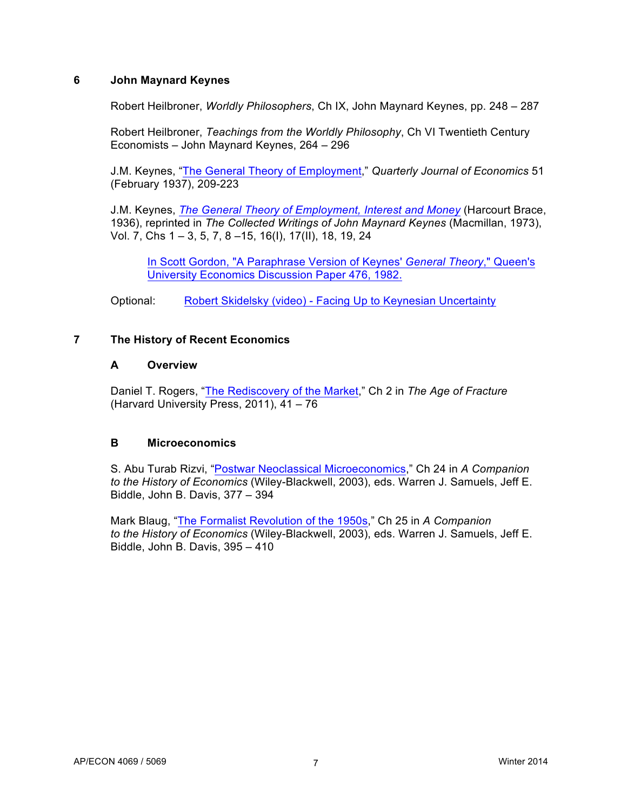### **6 John Maynard Keynes**

Robert Heilbroner, *Worldly Philosophers*, Ch IX, John Maynard Keynes, pp. 248 – 287

Robert Heilbroner, *Teachings from the Worldly Philosophy*, Ch VI Twentieth Century Economists – John Maynard Keynes, 264 – 296

J.M. Keynes, "The General Theory of Employment," *Quarterly Journal of Economics* 51 (February 1937), 209-223

J.M. Keynes, *The General Theory of Employment, Interest and Money* (Harcourt Brace, 1936), reprinted in *The Collected Writings of John Maynard Keynes* (Macmillan, 1973), Vol. 7, Chs 1 – 3, 5, 7, 8 –15, 16(I), 17(II), 18, 19, 24

In Scott Gordon, "A Paraphrase Version of Keynes' *General Theory*," Queen's University Economics Discussion Paper 476, 1982.

Optional: Robert Skidelsky (video) - Facing Up to Keynesian Uncertainty

### **7 The History of Recent Economics**

### **A Overview**

Daniel T. Rogers, "The Rediscovery of the Market," Ch 2 in *The Age of Fracture* (Harvard University Press, 2011), 41 – 76

# **B Microeconomics**

S. Abu Turab Rizvi, "Postwar Neoclassical Microeconomics," Ch 24 in *A Companion to the History of Economics* (Wiley-Blackwell, 2003), eds. Warren J. Samuels, Jeff E. Biddle, John B. Davis, 377 – 394

Mark Blaug, "The Formalist Revolution of the 1950s," Ch 25 in *A Companion to the History of Economics* (Wiley-Blackwell, 2003), eds. Warren J. Samuels, Jeff E. Biddle, John B. Davis, 395 – 410